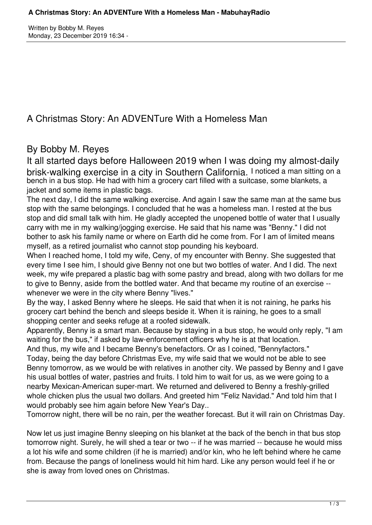Written by Bobby M. Reyes Monday, 23 December 2019 16:34 -

A Christmas Story: An ADVENTure With a Homeless Man

## By Bobby M. Reyes

It all started days before Halloween 2019 when I was doing my almost-daily brisk-walking exercise in a city in Southern California. I noticed a man sitting on a bench in a bus stop. He had with him a grocery cart filled with a suitcase, some blankets, a jacket and some items in plastic bags.

The next day, I did the same walking exercise. And again I saw the same man at the same bus stop with the same belongings. I concluded that he was a homeless man. I rested at the bus stop and did small talk with him. He gladly accepted the unopened bottle of water that I usually carry with me in my walking/jogging exercise. He said that his name was "Benny." I did not bother to ask his family name or where on Earth did he come from. For I am of limited means myself, as a retired journalist who cannot stop pounding his keyboard.

When I reached home, I told my wife, Ceny, of my encounter with Benny. She suggested that every time I see him, I should give Benny not one but two bottles of water. And I did. The next week, my wife prepared a plastic bag with some pastry and bread, along with two dollars for me to give to Benny, aside from the bottled water. And that became my routine of an exercise - whenever we were in the city where Benny "lives."

By the way, I asked Benny where he sleeps. He said that when it is not raining, he parks his grocery cart behind the bench and sleeps beside it. When it is raining, he goes to a small shopping center and seeks refuge at a roofed sidewalk.

Apparently, Benny is a smart man. Because by staying in a bus stop, he would only reply, "I am waiting for the bus," if asked by law-enforcement officers why he is at that location.

And thus, my wife and I became Benny's benefactors. Or as I coined, "Bennyfactors." Today, being the day before Christmas Eve, my wife said that we would not be able to see Benny tomorrow, as we would be with relatives in another city. We passed by Benny and I gave his usual bottles of water, pastries and fruits. I told him to wait for us, as we were going to a nearby Mexican-American super-mart. We returned and delivered to Benny a freshly-grilled whole chicken plus the usual two dollars. And greeted him "Feliz Navidad." And told him that I would probably see him again before New Year's Day..

Tomorrow night, there will be no rain, per the weather forecast. But it will rain on Christmas Day.

Now let us just imagine Benny sleeping on his blanket at the back of the bench in that bus stop tomorrow night. Surely, he will shed a tear or two -- if he was married -- because he would miss a lot his wife and some children (if he is married) and/or kin, who he left behind where he came from. Because the pangs of loneliness would hit him hard. Like any person would feel if he or she is away from loved ones on Christmas.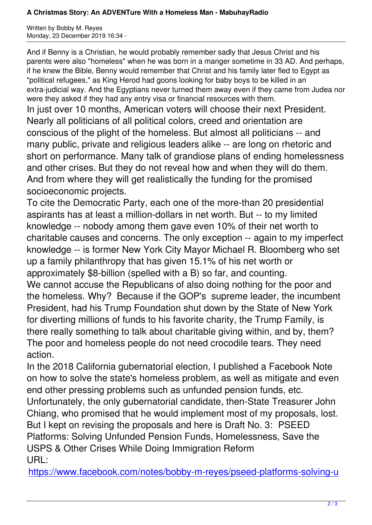And if Benny is a Christian, he would probably remember sadly that Jesus Christ and his parents were also "homeless" when he was born in a manger sometime in 33 AD. And perhaps, if he knew the Bible, Benny would remember that Christ and his family later fled to Egypt as "political refugees," as King Herod had goons looking for baby boys to be killed in an extra-judicial way. And the Egyptians never turned them away even if they came from Judea nor were they asked if they had any entry visa or financial resources with them.

In just over 10 months, American voters will choose their next President. Nearly all politicians of all political colors, creed and orientation are conscious of the plight of the homeless. But almost all politicians -- and many public, private and religious leaders alike -- are long on rhetoric and short on performance. Many talk of grandiose plans of ending homelessness and other crises. But they do not reveal how and when they will do them. And from where they will get realistically the funding for the promised socioeconomic projects.

To cite the Democratic Party, each one of the more-than 20 presidential aspirants has at least a million-dollars in net worth. But -- to my limited knowledge -- nobody among them gave even 10% of their net worth to charitable causes and concerns. The only exception -- again to my imperfect knowledge -- is former New York City Mayor Michael R. Bloomberg who set up a family philanthropy that has given 15.1% of his net worth or approximately \$8-billion (spelled with a B) so far, and counting. We cannot accuse the Republicans of also doing nothing for the poor and the homeless. Why? Because if the GOP's supreme leader, the incumbent President, had his Trump Foundation shut down by the State of New York for diverting millions of funds to his favorite charity, the Trump Family, is there really something to talk about charitable giving within, and by, them? The poor and homeless people do not need crocodile tears. They need action.

In the 2018 California gubernatorial election, I published a Facebook Note on how to solve the state's homeless problem, as well as mitigate and even end other pressing problems such as unfunded pension funds, etc. Unfortunately, the only gubernatorial candidate, then-State Treasurer John Chiang, who promised that he would implement most of my proposals, lost. But I kept on revising the proposals and here is Draft No. 3: PSEED Platforms: Solving Unfunded Pension Funds, Homelessness, Save the USPS & Other Crises While Doing Immigration Reform URL:

https://www.facebook.com/notes/bobby-m-reyes/pseed-platforms-solving-u